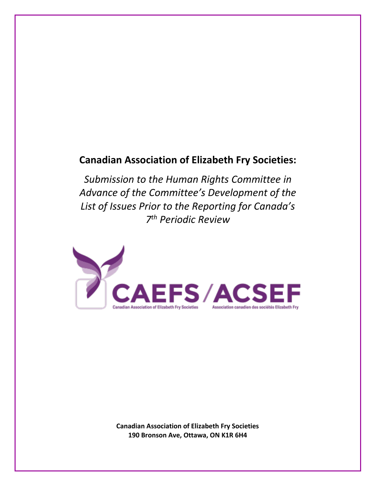# **Canadian Association of Elizabeth Fry Societies:**

*Submission to the Human Rights Committee in Advance of the Committee's Development of the List of Issues Prior to the Reporting for Canada's 7 th Periodic Review*



**Canadian Association of Elizabeth Fry Societies 190 Bronson Ave, Ottawa, ON K1R 6H4**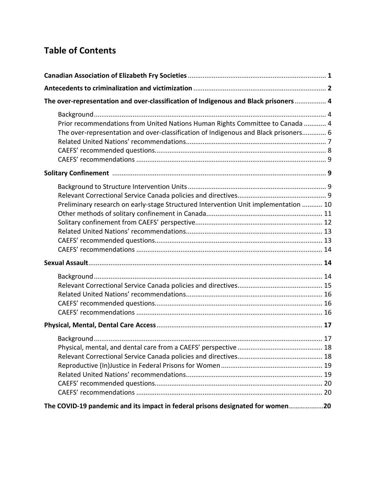# **Table of Contents**

| The over-representation and over-classification of Indigenous and Black prisoners  4                                                                                 |  |
|----------------------------------------------------------------------------------------------------------------------------------------------------------------------|--|
| Prior recommendations from United Nations Human Rights Committee to Canada  4<br>The over-representation and over-classification of Indigenous and Black prisoners 6 |  |
|                                                                                                                                                                      |  |
| Preliminary research on early-stage Structured Intervention Unit implementation  10                                                                                  |  |
|                                                                                                                                                                      |  |
|                                                                                                                                                                      |  |
|                                                                                                                                                                      |  |
| The COVID-19 pandemic and its impact in federal prisons designated for women20                                                                                       |  |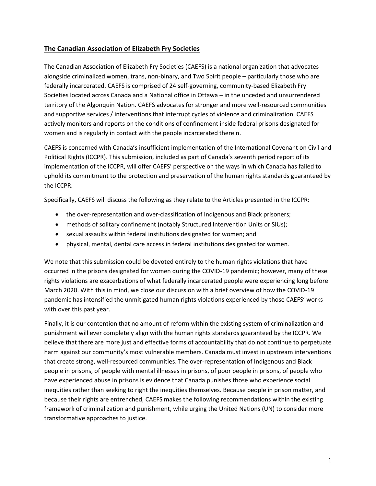# **The Canadian Association of Elizabeth Fry Societies**

The Canadian Association of Elizabeth Fry Societies (CAEFS) is a national organization that advocates alongside criminalized women, trans, non-binary, and Two Spirit people – particularly those who are federally incarcerated. CAEFS is comprised of 24 self-governing, community-based Elizabeth Fry Societies located across Canada and a National office in Ottawa – in the unceded and unsurrendered territory of the Algonquin Nation. CAEFS advocates for stronger and more well-resourced communities and supportive services / interventions that interrupt cycles of violence and criminalization. CAEFS actively monitors and reports on the conditions of confinement inside federal prisons designated for women and is regularly in contact with the people incarcerated therein.

CAEFS is concerned with Canada's insufficient implementation of the International Covenant on Civil and Political Rights (ICCPR). This submission, included as part of Canada's seventh period report of its implementation of the ICCPR, will offer CAEFS' perspective on the ways in which Canada has failed to uphold its commitment to the protection and preservation of the human rights standards guaranteed by the ICCPR.

Specifically, CAEFS will discuss the following as they relate to the Articles presented in the ICCPR:

- the over-representation and over-classification of Indigenous and Black prisoners;
- methods of solitary confinement (notably Structured Intervention Units or SIUs);
- sexual assaults within federal institutions designated for women; and
- physical, mental, dental care access in federal institutions designated for women.

We note that this submission could be devoted entirely to the human rights violations that have occurred in the prisons designated for women during the COVID-19 pandemic; however, many of these rights violations are exacerbations of what federally incarcerated people were experiencing long before March 2020. With this in mind, we close our discussion with a brief overview of how the COVID-19 pandemic has intensified the unmitigated human rights violations experienced by those CAEFS' works with over this past year.

Finally, it is our contention that no amount of reform within the existing system of criminalization and punishment will ever completely align with the human rights standards guaranteed by the ICCPR. We believe that there are more just and effective forms of accountability that do not continue to perpetuate harm against our community's most vulnerable members. Canada must invest in upstream interventions that create strong, well-resourced communities. The over-representation of Indigenous and Black people in prisons, of people with mental illnesses in prisons, of poor people in prisons, of people who have experienced abuse in prisons is evidence that Canada punishes those who experience social inequities rather than seeking to right the inequities themselves. Because people in prison matter, and because their rights are entrenched, CAEFS makes the following recommendations within the existing framework of criminalization and punishment, while urging the United Nations (UN) to consider more transformative approaches to justice.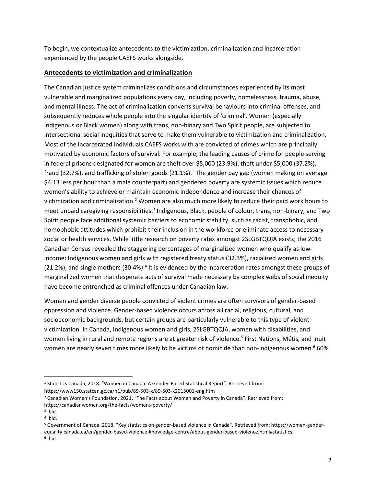To begin, we contextualize antecedents to the victimization, criminalization and incarceration experienced by the people CAEFS works alongside.

# **Antecedents to victimization and criminalization**

The Canadian justice system criminalizes conditions and circumstances experienced by its most vulnerable and marginalized populations every day, including poverty, homelessness, trauma, abuse, and mental illness. The act of criminalization converts survival behaviours into criminal offenses, and subsequently reduces whole people into the singular identity of 'criminal'. Women (especially Indigenous or Black women) along with trans, non-binary and Two Spirit people, are subjected to intersectional social inequities that serve to make them vulnerable to victimization and criminalization. Most of the incarcerated individuals CAEFS works with are convicted of crimes which are principally motivated by economic factors of survival. For example, the leading causes of crime for people serving in federal prisons designated for women are theft over \$5,000 (23.9%), theft under \$5,000 (37.2%), fraud (32.7%), and trafficking of stolen goods (21.1%).<sup>1</sup> The gender pay gap (women making on average \$4.13 less per hour than a male counterpart) and gendered poverty are systemic issues which reduce women's ability to achieve or maintain economic independence and increase their chances of victimization and criminalization.<sup>2</sup> Women are also much more likely to reduce their paid work hours to meet unpaid caregiving responsibilities.<sup>3</sup> Indigenous, Black, people of colour, trans, non-binary, and Two Spirit people face additional systemic barriers to economic stability, such as racist, transphobic, and homophobic attitudes which prohibit their inclusion in the workforce or eliminate access to necessary social or health services. While little research on poverty rates amongst 2SLGBTQQIA exists; the 2016 Canadian Census revealed the staggering percentages of marginalized women who qualify as lowincome: Indigenous women and girls with registered treaty status (32.3%), racialized women and girls (21.2%), and single mothers (30.4%).<sup>4</sup> It is evidenced by the incarceration rates amongst these groups of marginalized women that desperate acts of survival made necessary by complex webs of social inequity have become entrenched as criminal offences under Canadian law.

Women and gender diverse people convicted of violent crimes are often survivors of gender-based oppression and violence. Gender-based violence occurs across all racial, religious, cultural, and socioeconomic backgrounds, but certain groups are particularly vulnerable to this type of violent victimization. In Canada, Indigenous women and girls, 2SLGBTQQIA, women with disabilities, and women living in rural and remote regions are at greater risk of violence.<sup>5</sup> First Nations, Métis, and Inuit women are nearly seven times more likely to be victims of homicide than non-indigenous women.<sup>6</sup> 60%

<sup>5</sup> Government of Canada, 2018. "Key statistics on gender-based violence in Canada". Retrieved from: https://women-genderequality.canada.ca/en/gender-based-violence-knowledge-centre/about-gender-based-violence.html#statistics.

<sup>1</sup> Statistics Canada, 2018. "Women in Canada. A Gender-Based Statistical Report". Retrieved from: https://www150.statcan.gc.ca/n1/pub/89-503-x/89-503-x2015001-eng.htm

<sup>&</sup>lt;sup>2</sup> Canadian Women's Foundation, 2021. "The Facts about Women and Poverty in Canada". Retrieved from:

https://canadianwomen.org/the-facts/womens-poverty/

<sup>&</sup>lt;sup>3</sup> Ibid.

<sup>4</sup> Ibid.

<sup>6</sup> Ibid.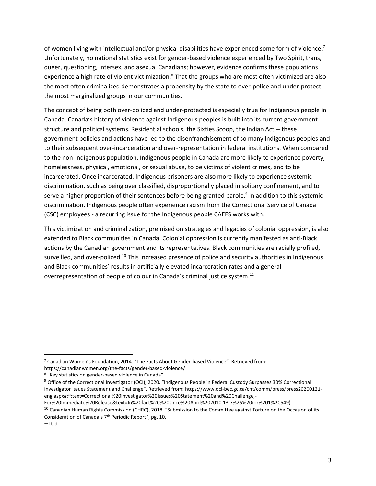of women living with intellectual and/or physical disabilities have experienced some form of violence.<sup>7</sup> Unfortunately, no national statistics exist for gender-based violence experienced by Two Spirit, trans, queer, questioning, intersex, and asexual Canadians; however, evidence confirms these populations experience a high rate of violent victimization.<sup>8</sup> That the groups who are most often victimized are also the most often criminalized demonstrates a propensity by the state to over-police and under-protect the most marginalized groups in our communities.

The concept of being both over-policed and under-protected is especially true for Indigenous people in Canada. Canada's history of violence against Indigenous peoples is built into its current government structure and political systems. Residential schools, the Sixties Scoop, the Indian Act -- these government policies and actions have led to the disenfranchisement of so many Indigenous peoples and to their subsequent over-incarceration and over-representation in federal institutions. When compared to the non-Indigenous population, Indigenous people in Canada are more likely to experience poverty, homelessness, physical, emotional, or sexual abuse, to be victims of violent crimes, and to be incarcerated. Once incarcerated, Indigenous prisoners are also more likely to experience systemic discrimination, such as being over classified, disproportionally placed in solitary confinement, and to serve a higher proportion of their sentences before being granted parole.<sup>9</sup> In addition to this systemic discrimination, Indigenous people often experience racism from the Correctional Service of Canada (CSC) employees - a recurring issue for the Indigenous people CAEFS works with.

This victimization and criminalization, premised on strategies and legacies of colonial oppression, is also extended to Black communities in Canada. Colonial oppression is currently manifested as anti-Black actions by the Canadian government and its representatives. Black communities are racially profiled, surveilled, and over-policed.<sup>10</sup> This increased presence of police and security authorities in Indigenous and Black communities' results in artificially elevated incarceration rates and a general overrepresentation of people of colour in Canada's criminal justice system.<sup>11</sup>

<sup>7</sup> Canadian Women's Foundation, 2014. "The Facts About Gender-based Violence". Retrieved from: https://canadianwomen.org/the-facts/gender-based-violence/

<sup>8</sup> "Key statistics on gender-based violence in Canada".

<sup>&</sup>lt;sup>9</sup> Office of the Correctional Investigator (OCI), 2020. "Indigenous People in Federal Custody Surpasses 30% Correctional Investigator Issues Statement and Challenge". Retrieved from: https://www.oci-bec.gc.ca/cnt/comm/press/press20200121 eng.aspx#:~:text=Correctional%20Investigator%20Issues%20Statement%20and%20Challenge,- For%20Immediate%20Release&text=In%20fact%2C%20since%20April%202010,13.7%25%20(or%201%2C549)

<sup>&</sup>lt;sup>10</sup> Canadian Human Rights Commission (CHRC), 2018. "Submission to the Committee against Torture on the Occasion of its Consideration of Canada's 7th Periodic Report", pg. 10.

 $11$  Ihid.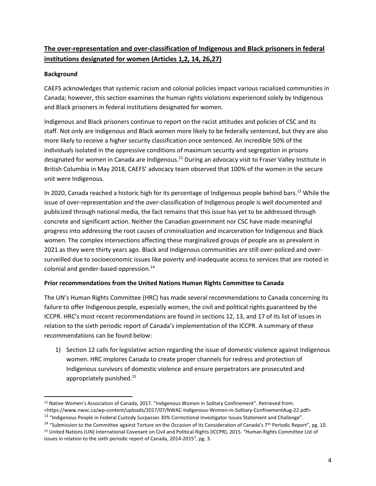# **The over-representation and over-classification of Indigenous and Black prisoners in federal institutions designated for women (Articles 1,2, 14, 26,27)**

### **Background**

CAEFS acknowledges that systemic racism and colonial policies impact various racialized communities in Canada; however, this section examines the human rights violations experienced solely by Indigenous and Black prisoners in federal institutions designated for women.

Indigenous and Black prisoners continue to report on the racist attitudes and policies of CSC and its staff. Not only are Indigenous and Black women more likely to be federally sentenced, but they are also more likely to receive a higher security classification once sentenced. An incredible 50% of the individuals isolated in the oppressive conditions of maximum security and segregation in prisons designated for women in Canada are Indigenous.<sup>12</sup> During an advocacy visit to Fraser Valley Institute in British Columbia in May 2018, CAEFS' advocacy team observed that 100% of the women in the secure unit were Indigenous.

In 2020, Canada reached a historic high for its percentage of Indigenous people behind bars.<sup>13</sup> While the issue of over-representation and the over-classification of Indigenous people is well documented and publicized through national media, the fact remains that this issue has yet to be addressed through concrete and significant action. Neither the Canadian government nor CSC have made meaningful progress into addressing the root causes of criminalization and incarceration for Indigenous and Black women. The complex intersections affecting these marginalized groups of people are as prevalent in 2021 as they were thirty years ago. Black and Indigenous communities are still over-policed and oversurveilled due to socioeconomic issues like poverty and inadequate access to services that are rooted in colonial and gender-based oppression.<sup>14</sup>

### **Prior recommendations from the United Nations Human Rights Committee to Canada**

The UN's Human Rights Committee (HRC) has made several recommendations to Canada concerning its failure to offer Indigenous people, especially women, the civil and political rights guaranteed by the ICCPR. HRC's most recent recommendations are found in sections 12, 13, and 17 of its list of issues in relation to the sixth periodic report of Canada's implementation of the ICCPR. A summary of these recommendations can be found below:

1) Section 12 calls for legislative action regarding the issue of domestic violence against Indigenous women. HRC implores Canada to create proper channels for redress and protection of Indigenous survivors of domestic violence and ensure perpetrators are prosecuted and appropriately punished.<sup>15</sup>

<sup>12</sup> Native Women's Association of Canada, 2017. "Indigenous Women in Solitary Confinement". Retrieved from: <https://www.nwac.ca/wp-content/uploads/2017/07/NWAC-Indigenous-Women-in-Solitary-ConfinementAug-22.pdf>

<sup>&</sup>lt;sup>13</sup> "Indigenous People in Federal Custody Surpasses 30% Correctional Investigator Issues Statement and Challenge".

<sup>&</sup>lt;sup>14</sup> "Submission to the Committee against Torture on the Occasion of its Consideration of Canada's 7<sup>th</sup> Periodic Report", pg. 10. <sup>15</sup> United Nations (UN) International Covenant on Civil and Political Rights (ICCPR), 2015. "Human Rights Committee List of issues in relation to the sixth periodic report of Canada, 2014-2015", pg. 3.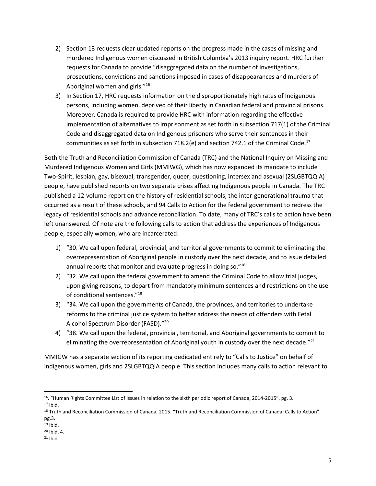- 2) Section 13 requests clear updated reports on the progress made in the cases of missing and murdered Indigenous women discussed in British Columbia's 2013 inquiry report. HRC further requests for Canada to provide "disaggregated data on the number of investigations, prosecutions, convictions and sanctions imposed in cases of disappearances and murders of Aboriginal women and girls."<sup>16</sup>
- 3) In Section 17, HRC requests information on the disproportionately high rates of Indigenous persons, including women, deprived of their liberty in Canadian federal and provincial prisons. Moreover, Canada is required to provide HRC with information regarding the effective implementation of alternatives to imprisonment as set forth in subsection 717(1) of the Criminal Code and disaggregated data on Indigenous prisoners who serve their sentences in their communities as set forth in subsection 718.2(e) and section 742.1 of the Criminal Code.<sup>17</sup>

Both the Truth and Reconciliation Commission of Canada (TRC) and the National Inquiry on Missing and Murdered Indigenous Women and Girls (MMIWG), which has now expanded its mandate to include Two-Spirit, lesbian, gay, bisexual, transgender, queer, questioning, intersex and asexual (2SLGBTQQIA) people, have published reports on two separate crises affecting Indigenous people in Canada. The TRC published a 12-volume report on the history of residential schools, the inter-generational trauma that occurred as a result of these schools, and 94 Calls to Action for the federal government to redress the legacy of residential schools and advance reconciliation. To date, many of TRC's calls to action have been left unanswered. Of note are the following calls to action that address the experiences of Indigenous people, especially women, who are incarcerated:

- 1) "30. We call upon federal, provincial, and territorial governments to commit to eliminating the overrepresentation of Aboriginal people in custody over the next decade, and to issue detailed annual reports that monitor and evaluate progress in doing so."<sup>18</sup>
- 2) "32. We call upon the federal government to amend the Criminal Code to allow trial judges, upon giving reasons, to depart from mandatory minimum sentences and restrictions on the use of conditional sentences."<sup>19</sup>
- 3) "34. We call upon the governments of Canada, the provinces, and territories to undertake reforms to the criminal justice system to better address the needs of offenders with Fetal Alcohol Spectrum Disorder (FASD)."<sup>20</sup>
- 4) "38. We call upon the federal, provincial, territorial, and Aboriginal governments to commit to eliminating the overrepresentation of Aboriginal youth in custody over the next decade." $^{21}$

MMIGW has a separate section of its reporting dedicated entirely to "Calls to Justice" on behalf of indigenous women, girls and 2SLGBTQQIA people. This section includes many calls to action relevant to

- <sup>19</sup> Ibid.
- <sup>20</sup> Ibid, 4.
- $21$  Ibid.

<sup>16</sup>. "Human Rights Committee List of issues in relation to the sixth periodic report of Canada, 2014-2015", pg. 3. <sup>17</sup> Ibid.

<sup>18</sup> Truth and Reconciliation Commission of Canada, 2015. "Truth and Reconciliation Commission of Canada: Calls to Action", pg.3.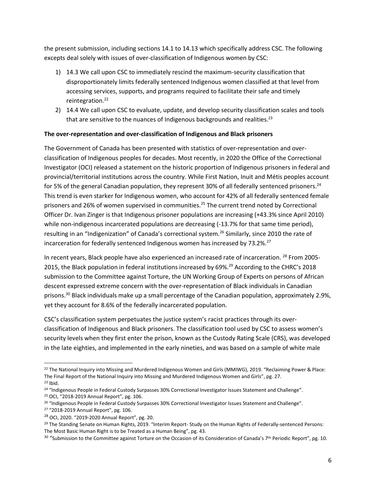the present submission, including sections 14.1 to 14.13 which specifically address CSC. The following excepts deal solely with issues of over-classification of Indigenous women by CSC:

- 1) 14.3 We call upon CSC to immediately rescind the maximum-security classification that disproportionately limits federally sentenced Indigenous women classified at that level from accessing services, supports, and programs required to facilitate their safe and timely reintegration.<sup>22</sup>
- 2) 14.4 We call upon CSC to evaluate, update, and develop security classification scales and tools that are sensitive to the nuances of Indigenous backgrounds and realities.<sup>23</sup>

### **The over-representation and over-classification of Indigenous and Black prisoners**

The Government of Canada has been presented with statistics of over-representation and overclassification of Indigenous peoples for decades. Most recently, in 2020 the Office of the Correctional Investigator (OCI) released a statement on the historic proportion of Indigenous prisoners in federal and provincial/territorial institutions across the country. While First Nation, Inuit and Métis peoples account for 5% of the general Canadian population, they represent 30% of all federally sentenced prisoners.<sup>24</sup> This trend is even starker for Indigenous women, who account for 42% of all federally sentenced female prisoners and 26% of women supervised in communities.<sup>25</sup> The current trend noted by Correctional Officer Dr. Ivan Zinger is that Indigenous prisoner populations are increasing (+43.3% since April 2010) while non-indigenous incarcerated populations are decreasing (-13.7% for that same time period), resulting in an "Indigenization" of Canada's correctional system.<sup>26</sup> Similarly, since 2010 the rate of incarceration for federally sentenced Indigenous women has increased by 73.2%.<sup>27</sup>

In recent years, Black people have also experienced an increased rate of incarceration. <sup>28</sup> From 2005-2015, the Black population in federal institutions increased by 69%.<sup>29</sup> According to the CHRC's 2018 submission to the Committee against Torture, the UN Working Group of Experts on persons of African descent expressed extreme concern with the over-representation of Black individuals in Canadian prisons.<sup>30</sup> Black individuals make up a small percentage of the Canadian population, approximately 2.9%, yet they account for 8.6% of the federally incarcerated population.

CSC's classification system perpetuates the justice system's racist practices through its overclassification of Indigenous and Black prisoners. The classification tool used by CSC to assess women's security levels when they first enter the prison, known as the Custody Rating Scale (CRS), was developed in the late eighties, and implemented in the early nineties, and was based on a sample of white male

<sup>22</sup> The National Inquiry into Missing and Murdered Indigenous Women and Girls (MMIWG), 2019. "Reclaiming Power & Place: The Final Report of the National Inquiry into Missing and Murdered Indigenous Women and Girls", pg. 27.  $23$  Ibid.

<sup>&</sup>lt;sup>24</sup> "Indigenous People in Federal Custody Surpasses 30% Correctional Investigator Issues Statement and Challenge".

<sup>25</sup> OCI, "2018-2019 Annual Report", pg. 106.

<sup>&</sup>lt;sup>26</sup> "Indigenous People in Federal Custody Surpasses 30% Correctional Investigator Issues Statement and Challenge".

<sup>27</sup> "2018-2019 Annual Report", pg. 106.

<sup>28</sup> OCI, 2020. "2019-2020 Annual Report", pg. 20.

<sup>&</sup>lt;sup>29</sup> The Standing Senate on Human Rights, 2019. "Interim Report- Study on the Human Rights of Federally-sentenced Persons: The Most Basic Human Right is to be Treated as a Human Being", pg. 43.

<sup>&</sup>lt;sup>30</sup> "Submission to the Committee against Torture on the Occasion of its Consideration of Canada's 7<sup>th</sup> Periodic Report", pg. 10.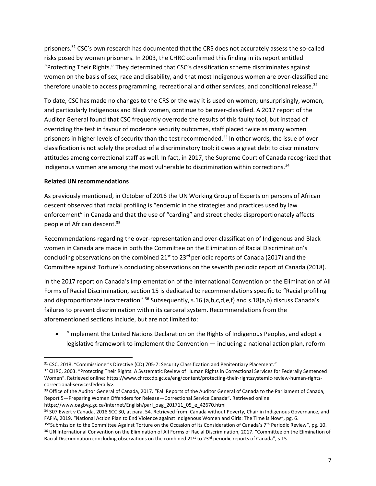prisoners.<sup>31</sup> CSC's own research has documented that the CRS does not accurately assess the so-called risks posed by women prisoners. In 2003, the CHRC confirmed this finding in its report entitled "Protecting Their Rights." They determined that CSC's classification scheme discriminates against women on the basis of sex, race and disability, and that most Indigenous women are over-classified and therefore unable to access programming, recreational and other services, and conditional release.<sup>32</sup>

To date, CSC has made no changes to the CRS or the way it is used on women; unsurprisingly, women, and particularly Indigenous and Black women, continue to be over-classified. A 2017 report of the Auditor General found that CSC frequently overrode the results of this faulty tool, but instead of overriding the test in favour of moderate security outcomes, staff placed twice as many women prisoners in higher levels of security than the test recommended.<sup>33</sup> In other words, the issue of overclassification is not solely the product of a discriminatory tool; it owes a great debt to discriminatory attitudes among correctional staff as well. In fact, in 2017, the Supreme Court of Canada recognized that Indigenous women are among the most vulnerable to discrimination within corrections.<sup>34</sup>

#### **Related UN recommendations**

As previously mentioned, in October of 2016 the UN Working Group of Experts on persons of African descent observed that racial profiling is "endemic in the strategies and practices used by law enforcement" in Canada and that the use of "carding" and street checks disproportionately affects people of African descent.<sup>35</sup>

Recommendations regarding the over-representation and over-classification of Indigenous and Black women in Canada are made in both the Committee on the Elimination of Racial Discrimination's concluding observations on the combined 21<sup>st</sup> to 23<sup>rd</sup> periodic reports of Canada (2017) and the Committee against Torture's concluding observations on the seventh periodic report of Canada (2018).

In the 2017 report on Canada's implementation of the International Convention on the Elimination of All Forms of Racial Discrimination, section 15 is dedicated to recommendations specific to "Racial profiling and disproportionate incarceration".<sup>36</sup> Subsequently, s.16 (a,b,c,d,e,f) and s.18(a,b) discuss Canada's failures to prevent discrimination within its carceral system. Recommendations from the aforementioned sections include, but are not limited to:

• "Implement the United Nations Declaration on the Rights of Indigenous Peoples, and adopt a legislative framework to implement the Convention — including a national action plan, reform

<sup>31</sup> CSC, 2018. "Commissioner's Directive (CD) 705-7: Security Classification and Penitentiary Placement."

<sup>32</sup> CHRC, 2003. "Protecting Their Rights: A Systematic Review of Human Rights in Correctional Services for Federally Sentenced Women". Retrieved online: https://www.chrcccdp.gc.ca/eng/content/protecting-their-rightssystemic-review-human-rightscorrectional-servicesfederally>.

<sup>&</sup>lt;sup>33</sup> Office of the Auditor General of Canada, 2017. "Fall Reports of the Auditor General of Canada to the Parliament of Canada, Report 5—Preparing Women Offenders for Release—Correctional Service Canada". Retrieved online:

https://www.oagbvg.gc.ca/internet/English/parl\_oag\_201711\_05\_e\_42670.html

<sup>34 307</sup> Ewert v Canada, 2018 SCC 30, at para. 54. Retrieved from: Canada without Poverty, Chair in Indigenous Governance, and FAFIA, 2019. "National Action Plan to End Violence against Indigenous Women and Girls: The Time is Now", pg. 6.

<sup>35&</sup>quot;Submission to the Committee Against Torture on the Occasion of its Consideration of Canada's 7<sup>th</sup> Periodic Review", pg. 10. <sup>36</sup> UN International Convention on the Elimination of All Forms of Racial Discrimination, 2017. "Committee on the Elimination of Racial Discrimination concluding observations on the combined  $21^{st}$  to  $23^{rd}$  periodic reports of Canada", s 15.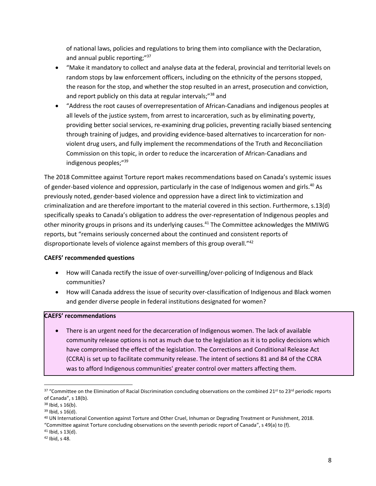of national laws, policies and regulations to bring them into compliance with the Declaration, and annual public reporting;"<sup>37</sup>

- "Make it mandatory to collect and analyse data at the federal, provincial and territorial levels on random stops by law enforcement officers, including on the ethnicity of the persons stopped, the reason for the stop, and whether the stop resulted in an arrest, prosecution and conviction, and report publicly on this data at regular intervals;"<sup>38</sup> and
- "Address the root causes of overrepresentation of African-Canadians and indigenous peoples at all levels of the justice system, from arrest to incarceration, such as by eliminating poverty, providing better social services, re-examining drug policies, preventing racially biased sentencing through training of judges, and providing evidence-based alternatives to incarceration for nonviolent drug users, and fully implement the recommendations of the Truth and Reconciliation Commission on this topic, in order to reduce the incarceration of African-Canadians and indigenous peoples;"<sup>39</sup>

The 2018 Committee against Torture report makes recommendations based on Canada's systemic issues of gender-based violence and oppression, particularly in the case of Indigenous women and girls.<sup>40</sup> As previously noted, gender-based violence and oppression have a direct link to victimization and criminalization and are therefore important to the material covered in this section. Furthermore, s.13(d) specifically speaks to Canada's obligation to address the over-representation of Indigenous peoples and other minority groups in prisons and its underlying causes.<sup>41</sup> The Committee acknowledges the MMIWG reports, but "remains seriously concerned about the continued and consistent reports of disproportionate levels of violence against members of this group overall."<sup>42</sup>

### **CAEFS' recommended questions**

- How will Canada rectify the issue of over-surveilling/over-policing of Indigenous and Black communities?
- How will Canada address the issue of security over-classification of Indigenous and Black women and gender diverse people in federal institutions designated for women?

### **CAEFS' recommendations**

• There is an urgent need for the decarceration of Indigenous women. The lack of available community release options is not as much due to the legislation as it is to policy decisions which have compromised the effect of the legislation. The Corrections and Conditional Release Act (CCRA) is set up to facilitate community release. The intent of sections 81 and 84 of the CCRA was to afford Indigenous communities' greater control over matters affecting them.

<sup>37 &</sup>quot;Committee on the Elimination of Racial Discrimination concluding observations on the combined 21st to 23rd periodic reports of Canada", s 18(b).

<sup>38</sup> Ibid, s 16(b).

<sup>39</sup> Ibid, s 16(d).

<sup>40</sup> UN International Convention against Torture and Other Cruel, Inhuman or Degrading Treatment or Punishment, 2018. "Committee against Torture concluding observations on the seventh periodic report of Canada", s 49(a) to (f).

<sup>41</sup> Ibid, s 13(d).

<sup>42</sup> Ibid, s 48.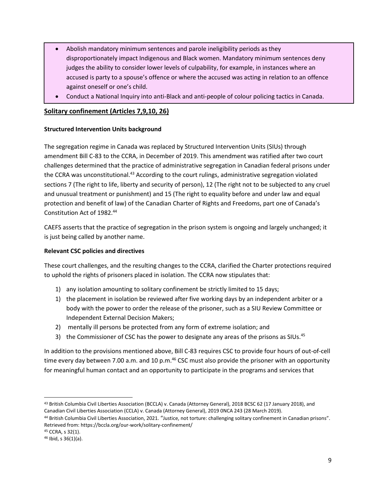- Abolish mandatory minimum sentences and parole ineligibility periods as they disproportionately impact Indigenous and Black women. Mandatory minimum sentences deny judges the ability to consider lower levels of culpability, for example, in instances where an accused is party to a spouse's offence or where the accused was acting in relation to an offence against oneself or one's child.
- Conduct a National Inquiry into anti-Black and anti-people of colour policing tactics in Canada.

# **Solitary confinement (Articles 7,9,10, 26)**

#### **Structured Intervention Units background**

The segregation regime in Canada was replaced by Structured Intervention Units (SIUs) through amendment Bill C-83 to the CCRA, in December of 2019. This amendment was ratified after two court challenges determined that the practice of administrative segregation in Canadian federal prisons under the CCRA was unconstitutional.<sup>43</sup> According to the court rulings, administrative segregation violated sections 7 (The right to life, liberty and security of person), 12 (The right not to be subjected to any cruel and unusual treatment or punishment) and 15 (The right to equality before and under law and equal protection and benefit of law) of the Canadian Charter of Rights and Freedoms, part one of Canada's Constitution Act of 1982.<sup>44</sup>

CAEFS asserts that the practice of segregation in the prison system is ongoing and largely unchanged; it is just being called by another name.

### **Relevant CSC policies and directives**

These court challenges, and the resulting changes to the CCRA, clarified the Charter protections required to uphold the rights of prisoners placed in isolation. The CCRA now stipulates that:

- 1) any isolation amounting to solitary confinement be strictly limited to 15 days;
- 1) the placement in isolation be reviewed after five working days by an independent arbiter or a body with the power to order the release of the prisoner, such as a SIU Review Committee or Independent External Decision Makers;
- 2) mentally ill persons be protected from any form of extreme isolation; and
- 3) the Commissioner of CSC has the power to designate any areas of the prisons as SIUs.<sup>45</sup>

In addition to the provisions mentioned above, Bill C-83 requires CSC to provide four hours of out-of-cell time every day between 7.00 a.m. and 10 p.m. $^{46}$  CSC must also provide the prisoner with an opportunity for meaningful human contact and an opportunity to participate in the programs and services that

<sup>43</sup> British Columbia Civil Liberties Association (BCCLA) v. Canada (Attorney General), 2018 BCSC 62 (17 January 2018), and Canadian Civil Liberties Association (CCLA) v. Canada (Attorney General), 2019 0NCA 243 (28 March 2019).

<sup>44</sup> British Columbia Civil Liberties Association, 2021. "Justice, not torture: challenging solitary confinement in Canadian prisons". Retrieved from: https://bccla.org/our-work/solitary-confinement/

<sup>45</sup> CCRA, s 32(1).

<sup>46</sup> Ibid, s 36(1)(a).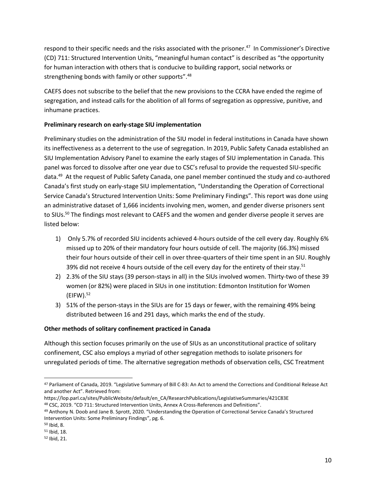respond to their specific needs and the risks associated with the prisoner.<sup>47</sup> In Commissioner's Directive (CD) 711: Structured Intervention Units, "meaningful human contact" is described as "the opportunity for human interaction with others that is conducive to building rapport, social networks or strengthening bonds with family or other supports".<sup>48</sup>

CAEFS does not subscribe to the belief that the new provisions to the CCRA have ended the regime of segregation, and instead calls for the abolition of all forms of segregation as oppressive, punitive, and inhumane practices.

### **Preliminary research on early-stage SIU implementation**

Preliminary studies on the administration of the SIU model in federal institutions in Canada have shown its ineffectiveness as a deterrent to the use of segregation. In 2019, Public Safety Canada established an SIU Implementation Advisory Panel to examine the early stages of SIU implementation in Canada. This panel was forced to dissolve after one year due to CSC's refusal to provide the requested SIU-specific data.<sup>49</sup> At the request of Public Safety Canada, one panel member continued the study and co-authored Canada's first study on early-stage SIU implementation, "Understanding the Operation of Correctional Service Canada's Structured Intervention Units: Some Preliminary Findings". This report was done using an administrative dataset of 1,666 incidents involving men, women, and gender diverse prisoners sent to SIUs.<sup>50</sup> The findings most relevant to CAEFS and the women and gender diverse people it serves are listed below:

- 1) Only 5.7% of recorded SIU incidents achieved 4-hours outside of the cell every day. Roughly 6% missed up to 20% of their mandatory four hours outside of cell. The majority (66.3%) missed their four hours outside of their cell in over three-quarters of their time spent in an SIU. Roughly 39% did not receive 4 hours outside of the cell every day for the entirety of their stay.<sup>51</sup>
- 2) 2.3% of the SIU stays (39 person-stays in all) in the SIUs involved women. Thirty-two of these 39 women (or 82%) were placed in SIUs in one institution: Edmonton Institution for Women  $(EIFW).$ <sup>52</sup>
- 3) 51% of the person-stays in the SIUs are for 15 days or fewer, with the remaining 49% being distributed between 16 and 291 days, which marks the end of the study.

### **Other methods of solitary confinement practiced in Canada**

Although this section focuses primarily on the use of SIUs as an unconstitutional practice of solitary confinement, CSC also employs a myriad of other segregation methods to isolate prisoners for unregulated periods of time. The alternative segregation methods of observation cells, CSC Treatment

<sup>47</sup> Parliament of Canada, 2019. "Legislative Summary of Bill C-83: An Act to amend the Corrections and Conditional Release Act and another Act". Retrieved from:

https://lop.parl.ca/sites/PublicWebsite/default/en\_CA/ResearchPublications/LegislativeSummaries/421C83E <sup>48</sup> CSC, 2019. "CD 711: Structured Intervention Units, Annex A Cross-References and Definitions".

<sup>49</sup> Anthony N. Doob and Jane B. Sprott, 2020. "Understanding the Operation of Correctional Service Canada's Structured Intervention Units: Some Preliminary Findings", pg. 6.

<sup>50</sup> Ibid, 8.

<sup>51</sup> Ibid, 18.

<sup>52</sup> Ibid, 21.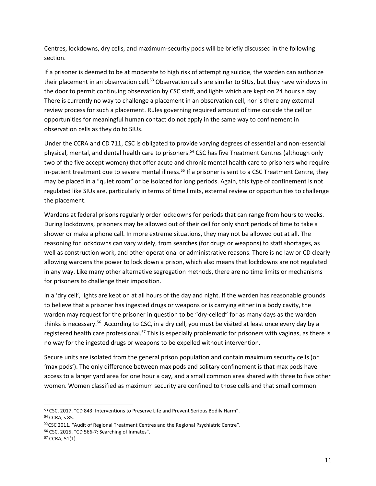Centres, lockdowns, dry cells, and maximum-security pods will be briefly discussed in the following section.

If a prisoner is deemed to be at moderate to high risk of attempting suicide, the warden can authorize their placement in an observation cell.<sup>53</sup> Observation cells are similar to SIUs, but they have windows in the door to permit continuing observation by CSC staff, and lights which are kept on 24 hours a day. There is currently no way to challenge a placement in an observation cell, nor is there any external review process for such a placement. Rules governing required amount of time outside the cell or opportunities for meaningful human contact do not apply in the same way to confinement in observation cells as they do to SIUs.

Under the CCRA and CD 711, CSC is obligated to provide varying degrees of essential and non-essential physical, mental, and dental health care to prisoners.<sup>54</sup> CSC has five Treatment Centres (although only two of the five accept women) that offer acute and chronic mental health care to prisoners who require in-patient treatment due to severe mental illness.<sup>55</sup> If a prisoner is sent to a CSC Treatment Centre, they may be placed in a "quiet room" or be isolated for long periods. Again, this type of confinement is not regulated like SIUs are, particularly in terms of time limits, external review or opportunities to challenge the placement.

Wardens at federal prisons regularly order lockdowns for periods that can range from hours to weeks. During lockdowns, prisoners may be allowed out of their cell for only short periods of time to take a shower or make a phone call. In more extreme situations, they may not be allowed out at all. The reasoning for lockdowns can vary widely, from searches (for drugs or weapons) to staff shortages, as well as construction work, and other operational or administrative reasons. There is no law or CD clearly allowing wardens the power to lock down a prison, which also means that lockdowns are not regulated in any way. Like many other alternative segregation methods, there are no time limits or mechanisms for prisoners to challenge their imposition.

In a 'dry cell', lights are kept on at all hours of the day and night. If the warden has reasonable grounds to believe that a prisoner has ingested drugs or weapons or is carrying either in a body cavity, the warden may request for the prisoner in question to be "dry-celled" for as many days as the warden thinks is necessary.<sup>56</sup> According to CSC, in a dry cell, you must be visited at least once every day by a registered health care professional.<sup>57</sup> This is especially problematic for prisoners with vaginas, as there is no way for the ingested drugs or weapons to be expelled without intervention.

Secure units are isolated from the general prison population and contain maximum security cells (or 'max pods'). The only difference between max pods and solitary confinement is that max pods have access to a larger yard area for one hour a day, and a small common area shared with three to five other women. Women classified as maximum security are confined to those cells and that small common

<sup>53</sup> CSC, 2017. "CD 843: Interventions to Preserve Life and Prevent Serious Bodily Harm". <sup>54</sup> CCRA, s 85.

<sup>&</sup>lt;sup>55</sup>CSC 2011. "Audit of Regional Treatment Centres and the Regional Psychiatric Centre".

<sup>56</sup> CSC, 2015. "CD 566-7: Searching of Inmates".

<sup>57</sup> CCRA, 51(1).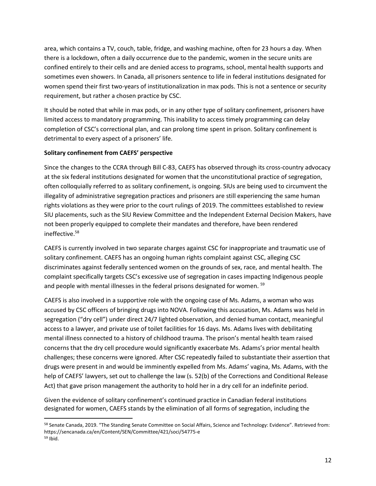area, which contains a TV, couch, table, fridge, and washing machine, often for 23 hours a day. When there is a lockdown, often a daily occurrence due to the pandemic, women in the secure units are confined entirely to their cells and are denied access to programs, school, mental health supports and sometimes even showers. In Canada, all prisoners sentence to life in federal institutions designated for women spend their first two-years of institutionalization in max pods. This is not a sentence or security requirement, but rather a chosen practice by CSC.

It should be noted that while in max pods, or in any other type of solitary confinement, prisoners have limited access to mandatory programming. This inability to access timely programming can delay completion of CSC's correctional plan, and can prolong time spent in prison. Solitary confinement is detrimental to every aspect of a prisoners' life.

#### **Solitary confinement from CAEFS' perspective**

Since the changes to the CCRA through Bill C-83, CAEFS has observed through its cross-country advocacy at the six federal institutions designated for women that the unconstitutional practice of segregation, often colloquially referred to as solitary confinement, is ongoing. SIUs are being used to circumvent the illegality of administrative segregation practices and prisoners are still experiencing the same human rights violations as they were prior to the court rulings of 2019. The committees established to review SIU placements, such as the SIU Review Committee and the Independent External Decision Makers, have not been properly equipped to complete their mandates and therefore, have been rendered ineffective.<sup>58</sup>

CAEFS is currently involved in two separate charges against CSC for inappropriate and traumatic use of solitary confinement. CAEFS has an ongoing human rights complaint against CSC, alleging CSC discriminates against federally sentenced women on the grounds of sex, race, and mental health. The complaint specifically targets CSC's excessive use of segregation in cases impacting Indigenous people and people with mental illnesses in the federal prisons designated for women. <sup>59</sup>

CAEFS is also involved in a supportive role with the ongoing case of Ms. Adams, a woman who was accused by CSC officers of bringing drugs into NOVA. Following this accusation, Ms. Adams was held in segregation ("dry cell") under direct 24/7 lighted observation, and denied human contact, meaningful access to a lawyer, and private use of toilet facilities for 16 days. Ms. Adams lives with debilitating mental illness connected to a history of childhood trauma. The prison's mental health team raised concerns that the dry cell procedure would significantly exacerbate Ms. Adams's prior mental health challenges; these concerns were ignored. After CSC repeatedly failed to substantiate their assertion that drugs were present in and would be imminently expelled from Ms. Adams' vagina, Ms. Adams, with the help of CAEFS' lawyers, set out to challenge the law (s. 52(b) of the Corrections and Conditional Release Act) that gave prison management the authority to hold her in a dry cell for an indefinite period.

Given the evidence of solitary confinement's continued practice in Canadian federal institutions designated for women, CAEFS stands by the elimination of all forms of segregation, including the

<sup>58</sup> Senate Canada, 2019. "The Standing Senate Committee on Social Affairs, Science and Technology: Evidence". Retrieved from: https://sencanada.ca/en/Content/SEN/Committee/421/soci/54775-e <sup>59</sup> Ibid.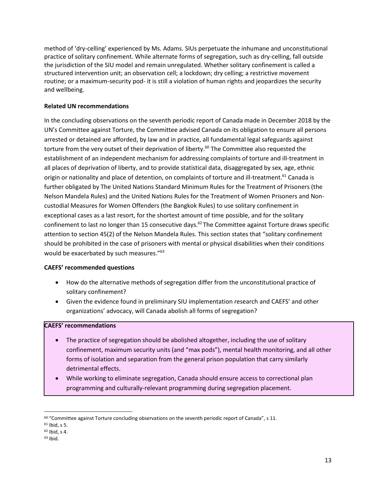method of 'dry-celling' experienced by Ms. Adams. SIUs perpetuate the inhumane and unconstitutional practice of solitary confinement. While alternate forms of segregation, such as dry-celling, fall outside the jurisdiction of the SIU model and remain unregulated. Whether solitary confinement is called a structured intervention unit; an observation cell; a lockdown; dry celling; a restrictive movement routine; or a maximum-security pod- it is still a violation of human rights and jeopardizes the security and wellbeing.

#### **Related UN recommendations**

In the concluding observations on the seventh periodic report of Canada made in December 2018 by the UN's Committee against Torture, the Committee advised Canada on its obligation to ensure all persons arrested or detained are afforded, by law and in practice, all fundamental legal safeguards against torture from the very outset of their deprivation of liberty.<sup>60</sup> The Committee also requested the establishment of an independent mechanism for addressing complaints of torture and ill-treatment in all places of deprivation of liberty, and to provide statistical data, disaggregated by sex, age, ethnic origin or nationality and place of detention, on complaints of torture and ill-treatment.<sup>61</sup> Canada is further obligated by The United Nations Standard Minimum Rules for the Treatment of Prisoners (the Nelson Mandela Rules) and the United Nations Rules for the Treatment of Women Prisoners and Noncustodial Measures for Women Offenders (the Bangkok Rules) to use solitary confinement in exceptional cases as a last resort, for the shortest amount of time possible, and for the solitary confinement to last no longer than 15 consecutive days.<sup>62</sup> The Committee against Torture draws specific attention to section 45(2) of the Nelson Mandela Rules. This section states that "solitary confinement should be prohibited in the case of prisoners with mental or physical disabilities when their conditions would be exacerbated by such measures."<sup>63</sup>

#### **CAEFS' recommended questions**

- How do the alternative methods of segregation differ from the unconstitutional practice of solitary confinement?
- Given the evidence found in preliminary SIU implementation research and CAEFS' and other organizations' advocacy, will Canada abolish all forms of segregation?

#### **CAEFS' recommendations**

- The practice of segregation should be abolished altogether, including the use of solitary confinement, maximum security units (and "max pods"), mental health monitoring, and all other forms of isolation and separation from the general prison population that carry similarly detrimental effects.
- While working to eliminate segregation, Canada should ensure access to correctional plan programming and culturally-relevant programming during segregation placement.

 $60$  "Committee against Torture concluding observations on the seventh periodic report of Canada", s 11.

<sup>61</sup> Ibid, s 5.

<sup>62</sup> Ibid, s 4.

 $63$  Ibid.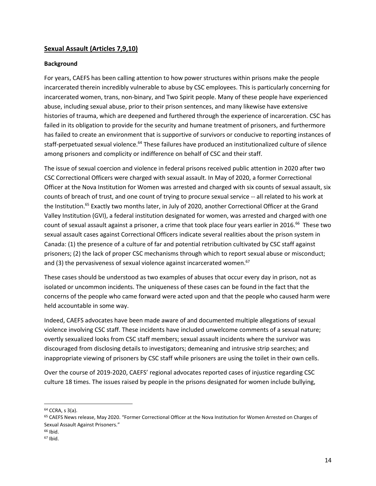## **Sexual Assault (Articles 7,9,10)**

#### **Background**

For years, CAEFS has been calling attention to how power structures within prisons make the people incarcerated therein incredibly vulnerable to abuse by CSC employees. This is particularly concerning for incarcerated women, trans, non-binary, and Two Spirit people. Many of these people have experienced abuse, including sexual abuse, prior to their prison sentences, and many likewise have extensive histories of trauma, which are deepened and furthered through the experience of incarceration. CSC has failed in its obligation to provide for the security and humane treatment of prisoners, and furthermore has failed to create an environment that is supportive of survivors or conducive to reporting instances of staff-perpetuated sexual violence.<sup>64</sup> These failures have produced an institutionalized culture of silence among prisoners and complicity or indifference on behalf of CSC and their staff.

The issue of sexual coercion and violence in federal prisons received public attention in 2020 after two CSC Correctional Officers were charged with sexual assault. In May of 2020, a former Correctional Officer at the Nova Institution for Women was arrested and charged with six counts of sexual assault, six counts of breach of trust, and one count of trying to procure sexual service -- all related to his work at the Institution.<sup>65</sup> Exactly two months later, in July of 2020, another Correctional Officer at the Grand Valley Institution (GVI), a federal institution designated for women, was arrested and charged with one count of sexual assault against a prisoner, a crime that took place four years earlier in 2016.<sup>66</sup> These two sexual assault cases against Correctional Officers indicate several realities about the prison system in Canada: (1) the presence of a culture of far and potential retribution cultivated by CSC staff against prisoners; (2) the lack of proper CSC mechanisms through which to report sexual abuse or misconduct; and (3) the pervasiveness of sexual violence against incarcerated women. $67$ 

These cases should be understood as two examples of abuses that occur every day in prison, not as isolated or uncommon incidents. The uniqueness of these cases can be found in the fact that the concerns of the people who came forward were acted upon and that the people who caused harm were held accountable in some way.

Indeed, CAEFS advocates have been made aware of and documented multiple allegations of sexual violence involving CSC staff. These incidents have included unwelcome comments of a sexual nature; overtly sexualized looks from CSC staff members; sexual assault incidents where the survivor was discouraged from disclosing details to investigators; demeaning and intrusive strip searches; and inappropriate viewing of prisoners by CSC staff while prisoners are using the toilet in their own cells.

Over the course of 2019-2020, CAEFS' regional advocates reported cases of injustice regarding CSC culture 18 times. The issues raised by people in the prisons designated for women include bullying,

<sup>64</sup> CCRA, s 3(a).

<sup>65</sup> CAEFS News release, May 2020. "Former Correctional Officer at the Nova Institution for Women Arrested on Charges of Sexual Assault Against Prisoners."

<sup>66</sup> Ibid.

<sup>67</sup> Ibid.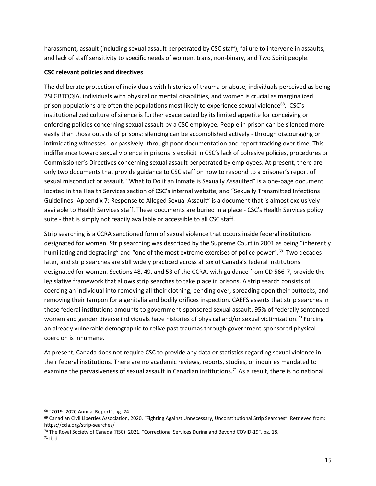harassment, assault (including sexual assault perpetrated by CSC staff), failure to intervene in assaults, and lack of staff sensitivity to specific needs of women, trans, non-binary, and Two Spirit people.

### **CSC relevant policies and directives**

The deliberate protection of individuals with histories of trauma or abuse, individuals perceived as being 2SLGBTQQIA, individuals with physical or mental disabilities, and women is crucial as marginalized prison populations are often the populations most likely to experience sexual violence<sup>68</sup>. CSC's institutionalized culture of silence is further exacerbated by its limited appetite for conceiving or enforcing policies concerning sexual assault by a CSC employee. People in prison can be silenced more easily than those outside of prisons: silencing can be accomplished actively - through discouraging or intimidating witnesses - or passively -through poor documentation and report tracking over time. This indifference toward sexual violence in prisons is explicit in CSC's lack of cohesive policies, procedures or Commissioner's Directives concerning sexual assault perpetrated by employees. At present, there are only two documents that provide guidance to CSC staff on how to respond to a prisoner's report of sexual misconduct or assault. "What to Do if an Inmate is Sexually Assaulted" is a one-page document located in the Health Services section of CSC's internal website, and "Sexually Transmitted Infections Guidelines- Appendix 7: Response to Alleged Sexual Assault" is a document that is almost exclusively available to Health Services staff. These documents are buried in a place - CSC's Health Services policy suite - that is simply not readily available or accessible to all CSC staff.

Strip searching is a CCRA sanctioned form of sexual violence that occurs inside federal institutions designated for women. Strip searching was described by the Supreme Court in 2001 as being "inherently humiliating and degrading" and "one of the most extreme exercises of police power".<sup>69</sup> Two decades later, and strip searches are still widely practiced across all six of Canada's federal institutions designated for women. Sections 48, 49, and 53 of the CCRA, with guidance from CD 566-7, provide the legislative framework that allows strip searches to take place in prisons. A strip search consists of coercing an individual into removing all their clothing, bending over, spreading open their buttocks, and removing their tampon for a genitalia and bodily orifices inspection. CAEFS asserts that strip searches in these federal institutions amounts to government-sponsored sexual assault. 95% of federally sentenced women and gender diverse individuals have histories of physical and/or sexual victimization.<sup>70</sup> Forcing an already vulnerable demographic to relive past traumas through government-sponsored physical coercion is inhumane.

At present, Canada does not require CSC to provide any data or statistics regarding sexual violence in their federal institutions. There are no academic reviews, reports, studies, or inquiries mandated to examine the pervasiveness of sexual assault in Canadian institutions.<sup>71</sup> As a result, there is no national

<sup>68</sup> "2019- 2020 Annual Report", pg. 24.

<sup>69</sup> Canadian Civil Liberties Association, 2020. "Fighting Against Unnecessary, Unconstitutional Strip Searches". Retrieved from: https://ccla.org/strip-searches/

<sup>70</sup> The Royal Society of Canada (RSC), 2021. "Correctional Services During and Beyond COVID-19", pg. 18.

 $71$  Ibid.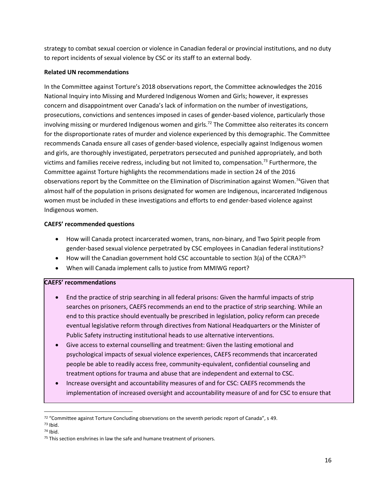strategy to combat sexual coercion or violence in Canadian federal or provincial institutions, and no duty to report incidents of sexual violence by CSC or its staff to an external body.

#### **Related UN recommendations**

In the Committee against Torture's 2018 observations report, the Committee acknowledges the 2016 National Inquiry into Missing and Murdered Indigenous Women and Girls; however, it expresses concern and disappointment over Canada's lack of information on the number of investigations, prosecutions, convictions and sentences imposed in cases of gender-based violence, particularly those involving missing or murdered Indigenous women and girls.<sup>72</sup> The Committee also reiterates its concern for the disproportionate rates of murder and violence experienced by this demographic. The Committee recommends Canada ensure all cases of gender-based violence, especially against Indigenous women and girls, are thoroughly investigated, perpetrators persecuted and punished appropriately, and both victims and families receive redress, including but not limited to, compensation.<sup>73</sup> Furthermore, the Committee against Torture highlights the recommendations made in section 24 of the 2016 observations report by the Committee on the Elimination of Discrimination against Women.<sup>74</sup>Given that almost half of the population in prisons designated for women are Indigenous, incarcerated Indigenous women must be included in these investigations and efforts to end gender-based violence against Indigenous women.

#### **CAEFS' recommended questions**

- How will Canada protect incarcerated women, trans, non-binary, and Two Spirit people from gender-based sexual violence perpetrated by CSC employees in Canadian federal institutions?
- How will the Canadian government hold CSC accountable to section 3(a) of the CCRA?<sup>75</sup>
- When will Canada implement calls to justice from MMIWG report?

#### **CAEFS' recommendations**

- End the practice of strip searching in all federal prisons: Given the harmful impacts of strip searches on prisoners, CAEFS recommends an end to the practice of strip searching. While an end to this practice should eventually be prescribed in legislation, policy reform can precede eventual legislative reform through directives from National Headquarters or the Minister of Public Safety instructing institutional heads to use alternative interventions.
- Give access to external counselling and treatment: Given the lasting emotional and psychological impacts of sexual violence experiences, CAEFS recommends that incarcerated people be able to readily access free, community-equivalent, confidential counseling and treatment options for trauma and abuse that are independent and external to CSC.
- Increase oversight and accountability measures of and for CSC: CAEFS recommends the implementation of increased oversight and accountability measure of and for CSC to ensure that

 $72$  "Committee against Torture Concluding observations on the seventh periodic report of Canada", s 49.

<sup>73</sup> Ibid.

<sup>74</sup> Ibid.

<sup>&</sup>lt;sup>75</sup> This section enshrines in law the safe and humane treatment of prisoners.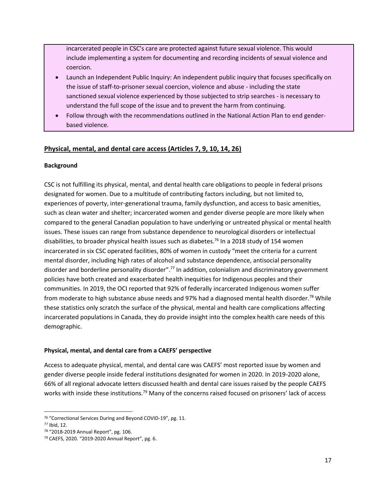incarcerated people in CSC's care are protected against future sexual violence. This would include implementing a system for documenting and recording incidents of sexual violence and coercion.

- Launch an Independent Public Inquiry: An independent public inquiry that focuses specifically on the issue of staff-to-prisoner sexual coercion, violence and abuse - including the state sanctioned sexual violence experienced by those subjected to strip searches - is necessary to understand the full scope of the issue and to prevent the harm from continuing.
- Follow through with the recommendations outlined in the National Action Plan to end genderbased violence.

# **Physical, mental, and dental care access (Articles 7, 9, 10, 14, 26)**

#### **Background**

CSC is not fulfilling its physical, mental, and dental health care obligations to people in federal prisons designated for women. Due to a multitude of contributing factors including, but not limited to, experiences of poverty, inter-generational trauma, family dysfunction, and access to basic amenities, such as clean water and shelter; incarcerated women and gender diverse people are more likely when compared to the general Canadian population to have underlying or untreated physical or mental health issues. These issues can range from substance dependence to neurological disorders or intellectual disabilities, to broader physical health issues such as diabetes.<sup>76</sup> In a 2018 study of 154 women incarcerated in six CSC operated facilities, 80% of women in custody "meet the criteria for a current mental disorder, including high rates of alcohol and substance dependence, antisocial personality disorder and borderline personality disorder".<sup>77</sup> In addition, colonialism and discriminatory government policies have both created and exacerbated health inequities for Indigenous peoples and their communities. In 2019, the OCI reported that 92% of federally incarcerated Indigenous women suffer from moderate to high substance abuse needs and 97% had a diagnosed mental health disorder.<sup>78</sup> While these statistics only scratch the surface of the physical, mental and health care complications affecting incarcerated populations in Canada, they do provide insight into the complex health care needs of this demographic.

#### **Physical, mental, and dental care from a CAEFS' perspective**

Access to adequate physical, mental, and dental care was CAEFS' most reported issue by women and gender diverse people inside federal institutions designated for women in 2020. In 2019-2020 alone, 66% of all regional advocate letters discussed health and dental care issues raised by the people CAEFS works with inside these institutions.<sup>79</sup> Many of the concerns raised focused on prisoners' lack of access

<sup>76</sup> "Correctional Services During and Beyond COVID-19", pg. 11.

<sup>77</sup> Ibid, 12.

<sup>78</sup> "2018-2019 Annual Report", pg. 106.

<sup>79</sup> CAEFS, 2020. "2019-2020 Annual Report", pg. 6.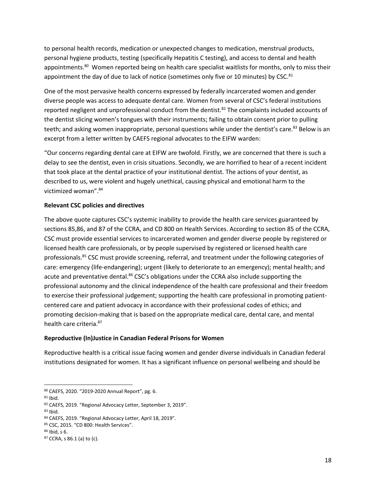to personal health records, medication or unexpected changes to medication, menstrual products, personal hygiene products, testing (specifically Hepatitis C testing), and access to dental and health appointments.<sup>80</sup> Women reported being on health care specialist waitlists for months, only to miss their appointment the day of due to lack of notice (sometimes only five or 10 minutes) by CSC. $81$ 

One of the most pervasive health concerns expressed by federally incarcerated women and gender diverse people was access to adequate dental care. Women from several of CSC's federal institutions reported negligent and unprofessional conduct from the dentist.<sup>82</sup> The complaints included accounts of the dentist slicing women's tongues with their instruments; failing to obtain consent prior to pulling teeth; and asking women inappropriate, personal questions while under the dentist's care.<sup>83</sup> Below is an excerpt from a letter written by CAEFS regional advocates to the EIFW warden:

"Our concerns regarding dental care at EIFW are twofold. Firstly, we are concerned that there is such a delay to see the dentist, even in crisis situations. Secondly, we are horrified to hear of a recent incident that took place at the dental practice of your institutional dentist. The actions of your dentist, as described to us, were violent and hugely unethical, causing physical and emotional harm to the victimized woman".<sup>84</sup>

#### **Relevant CSC policies and directives**

The above quote captures CSC's systemic inability to provide the health care services guaranteed by sections 85,86, and 87 of the CCRA, and CD 800 on Health Services. According to section 85 of the CCRA, CSC must provide essential services to incarcerated women and gender diverse people by registered or licensed health care professionals, or by people supervised by registered or licensed health care professionals.<sup>85</sup> CSC must provide screening, referral, and treatment under the following categories of care: emergency (life-endangering); urgent (likely to deteriorate to an emergency); mental health; and acute and preventative dental.<sup>86</sup> CSC's obligations under the CCRA also include supporting the professional autonomy and the clinical independence of the health care professional and their freedom to exercise their professional judgement; supporting the health care professional in promoting patientcentered care and patient advocacy in accordance with their professional codes of ethics; and promoting decision-making that is based on the appropriate medical care, dental care, and mental health care criteria.<sup>87</sup>

#### **Reproductive (In)Justice in Canadian Federal Prisons for Women**

Reproductive health is a critical issue facing women and gender diverse individuals in Canadian federal institutions designated for women. It has a significant influence on personal wellbeing and should be

 $83$  Ibid.

<sup>80</sup> CAEFS, 2020. "2019-2020 Annual Report", pg. 6.

<sup>81</sup> Ibid.

<sup>82</sup> CAEFS, 2019. "Regional Advocacy Letter, September 3, 2019".

<sup>84</sup> CAEFS, 2019. "Regional Advocacy Letter, April 18, 2019".

<sup>85</sup> CSC, 2015. "CD 800: Health Services".

<sup>86</sup> Ibid, s 6.

<sup>87</sup> CCRA, s 86.1 (a) to (c).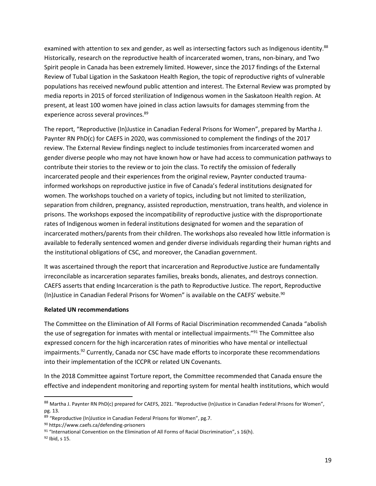examined with attention to sex and gender, as well as intersecting factors such as Indigenous identity.<sup>88</sup> Historically, research on the reproductive health of incarcerated women, trans, non-binary, and Two Spirit people in Canada has been extremely limited. However, since the 2017 findings of the External Review of Tubal Ligation in the Saskatoon Health Region, the topic of reproductive rights of vulnerable populations has received newfound public attention and interest. The External Review was prompted by media reports in 2015 of forced sterilization of Indigenous women in the Saskatoon Health region. At present, at least 100 women have joined in class action lawsuits for damages stemming from the experience across several provinces.<sup>89</sup>

The report, "Reproductive (In)Justice in Canadian Federal Prisons for Women", prepared by Martha J. Paynter RN PhD(c) for CAEFS in 2020, was commissioned to complement the findings of the 2017 review. The External Review findings neglect to include testimonies from incarcerated women and gender diverse people who may not have known how or have had access to communication pathways to contribute their stories to the review or to join the class. To rectify the omission of federally incarcerated people and their experiences from the original review, Paynter conducted traumainformed workshops on reproductive justice in five of Canada's federal institutions designated for women. The workshops touched on a variety of topics, including but not limited to sterilization, separation from children, pregnancy, assisted reproduction, menstruation, trans health, and violence in prisons. The workshops exposed the incompatibility of reproductive justice with the disproportionate rates of Indigenous women in federal institutions designated for women and the separation of incarcerated mothers/parents from their children. The workshops also revealed how little information is available to federally sentenced women and gender diverse individuals regarding their human rights and the institutional obligations of CSC, and moreover, the Canadian government.

It was ascertained through the report that incarceration and Reproductive Justice are fundamentally irreconcilable as incarceration separates families, breaks bonds, alienates, and destroys connection. CAEFS asserts that ending Incarceration is the path to Reproductive Justice. The report, Reproductive (In)Justice in Canadian Federal Prisons for Women" is available on the CAEFS' website.<sup>90</sup>

#### **Related UN recommendations**

The Committee on the Elimination of All Forms of Racial Discrimination recommended Canada "abolish the use of segregation for inmates with mental or intellectual impairments."<sup>91</sup> The Committee also expressed concern for the high incarceration rates of minorities who have mental or intellectual impairments.<sup>92</sup> Currently, Canada nor CSC have made efforts to incorporate these recommendations into their implementation of the ICCPR or related UN Covenants.

In the 2018 Committee against Torture report, the Committee recommended that Canada ensure the effective and independent monitoring and reporting system for mental health institutions, which would

<sup>88</sup> Martha J. Paynter RN PhD(c) prepared for CAEFS, 2021. "Reproductive (In)Justice in Canadian Federal Prisons for Women", pg. 13.

<sup>89 &</sup>quot;Reproductive (In)Justice in Canadian Federal Prisons for Women", pg.7.

<sup>90</sup> https://www.caefs.ca/defending-prisoners

<sup>91 &</sup>quot;International Convention on the Elimination of All Forms of Racial Discrimination", s 16(h).

<sup>92</sup> Ibid, s 15.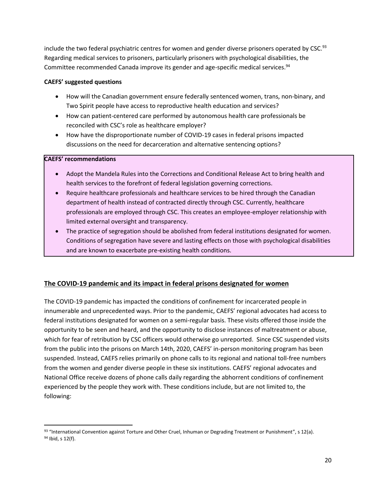include the two federal psychiatric centres for women and gender diverse prisoners operated by CSC.<sup>93</sup> Regarding medical services to prisoners, particularly prisoners with psychological disabilities, the Committee recommended Canada improve its gender and age-specific medical services.<sup>94</sup>

#### **CAEFS' suggested questions**

- How will the Canadian government ensure federally sentenced women, trans, non-binary, and Two Spirit people have access to reproductive health education and services?
- How can patient-centered care performed by autonomous health care professionals be reconciled with CSC's role as healthcare employer?
- How have the disproportionate number of COVID-19 cases in federal prisons impacted discussions on the need for decarceration and alternative sentencing options?

#### **CAEFS' recommendations**

- Adopt the Mandela Rules into the Corrections and Conditional Release Act to bring health and health services to the forefront of federal legislation governing corrections.
- Require healthcare professionals and healthcare services to be hired through the Canadian department of health instead of contracted directly through CSC. Currently, healthcare professionals are employed through CSC. This creates an employee-employer relationship with limited external oversight and transparency.
- The practice of segregation should be abolished from federal institutions designated for women. Conditions of segregation have severe and lasting effects on those with psychological disabilities and are known to exacerbate pre-existing health conditions.

# **The COVID-19 pandemic and its impact in federal prisons designated for women**

The COVID-19 pandemic has impacted the conditions of confinement for incarcerated people in innumerable and unprecedented ways. Prior to the pandemic, CAEFS' regional advocates had access to federal institutions designated for women on a semi-regular basis. These visits offered those inside the opportunity to be seen and heard, and the opportunity to disclose instances of maltreatment or abuse, which for fear of retribution by CSC officers would otherwise go unreported. Since CSC suspended visits from the public into the prisons on March 14th, 2020, CAEFS' in-person monitoring program has been suspended. Instead, CAEFS relies primarily on phone calls to its regional and national toll-free numbers from the women and gender diverse people in these six institutions. CAEFS' regional advocates and National Office receive dozens of phone calls daily regarding the abhorrent conditions of confinement experienced by the people they work with. These conditions include, but are not limited to, the following:

<sup>93 &</sup>quot;International Convention against Torture and Other Cruel, Inhuman or Degrading Treatment or Punishment", s 12(a). <sup>94</sup> Ibid, s 12(f).